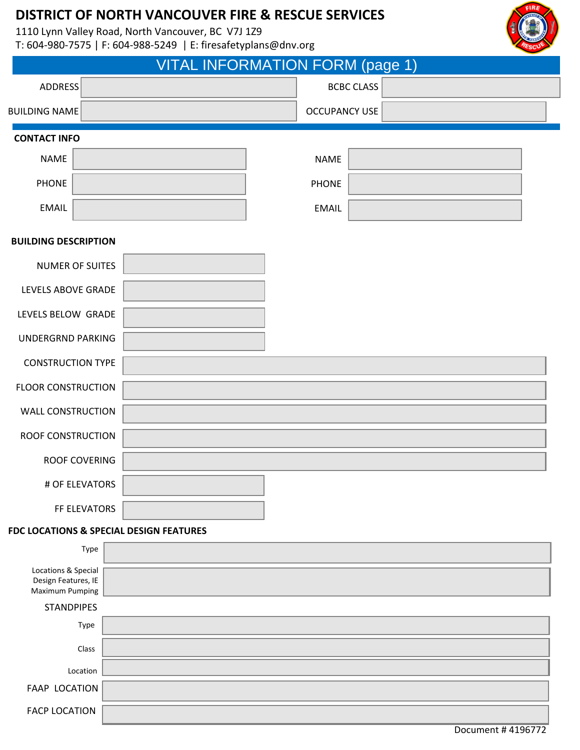1110 Lynn Valley Road, North Vancouver, BC V7J 1Z9

T: 604-980-7575 | F: 604-988-5249 | E: firesafetyplans@dnv.org

|                                                                      |                                         | VITAL INFORMATION FORM (page 1) |                   |                   |
|----------------------------------------------------------------------|-----------------------------------------|---------------------------------|-------------------|-------------------|
| <b>ADDRESS</b>                                                       |                                         |                                 | <b>BCBC CLASS</b> |                   |
| <b>BUILDING NAME</b>                                                 |                                         | <b>OCCUPANCY USE</b>            |                   |                   |
| <b>CONTACT INFO</b>                                                  |                                         |                                 |                   |                   |
| <b>NAME</b>                                                          |                                         | <b>NAME</b>                     |                   |                   |
| <b>PHONE</b>                                                         |                                         | <b>PHONE</b>                    |                   |                   |
| <b>EMAIL</b>                                                         |                                         | <b>EMAIL</b>                    |                   |                   |
| <b>BUILDING DESCRIPTION</b>                                          |                                         |                                 |                   |                   |
| <b>NUMER OF SUITES</b>                                               |                                         |                                 |                   |                   |
| LEVELS ABOVE GRADE                                                   |                                         |                                 |                   |                   |
| LEVELS BELOW GRADE                                                   |                                         |                                 |                   |                   |
| <b>UNDERGRND PARKING</b>                                             |                                         |                                 |                   |                   |
| <b>CONSTRUCTION TYPE</b>                                             |                                         |                                 |                   |                   |
| <b>FLOOR CONSTRUCTION</b>                                            |                                         |                                 |                   |                   |
| <b>WALL CONSTRUCTION</b>                                             |                                         |                                 |                   |                   |
| <b>ROOF CONSTRUCTION</b>                                             |                                         |                                 |                   |                   |
| <b>ROOF COVERING</b>                                                 |                                         |                                 |                   |                   |
| # OF ELEVATORS                                                       |                                         |                                 |                   |                   |
| FF ELEVATORS                                                         |                                         |                                 |                   |                   |
|                                                                      | FDC LOCATIONS & SPECIAL DESIGN FEATURES |                                 |                   |                   |
| Type                                                                 |                                         |                                 |                   |                   |
| Locations & Special<br>Design Features, IE<br><b>Maximum Pumping</b> |                                         |                                 |                   |                   |
| <b>STANDPIPES</b>                                                    |                                         |                                 |                   |                   |
| Type                                                                 |                                         |                                 |                   |                   |
| Class                                                                |                                         |                                 |                   |                   |
| Location                                                             |                                         |                                 |                   |                   |
| <b>FAAP LOCATION</b>                                                 |                                         |                                 |                   |                   |
| <b>FACP LOCATION</b>                                                 |                                         |                                 |                   |                   |
|                                                                      |                                         |                                 |                   | Document #4196772 |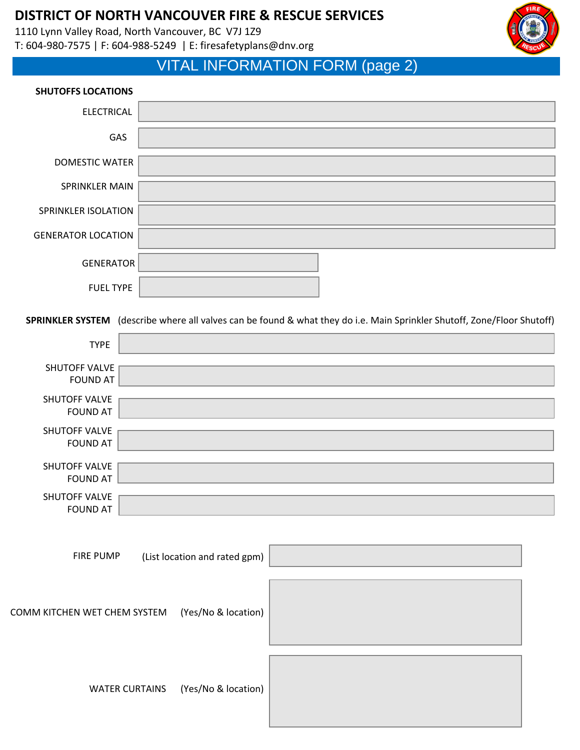1110 Lynn Valley Road, North Vancouver, BC V7J 1Z9 T: 604-980-7575 | F: 604-988-5249 | E: firesafetyplans@dnv.org



# VITAL INFORMATION FORM (page 2)

### **SHUTOFFS LOCATIONS**

| <b>ELECTRICAL</b>         |                                                                                                                          |
|---------------------------|--------------------------------------------------------------------------------------------------------------------------|
| GAS                       |                                                                                                                          |
| <b>DOMESTIC WATER</b>     |                                                                                                                          |
| SPRINKLER MAIN            |                                                                                                                          |
| SPRINKLER ISOLATION       |                                                                                                                          |
| <b>GENERATOR LOCATION</b> |                                                                                                                          |
| <b>GENERATOR</b>          |                                                                                                                          |
| <b>FUEL TYPE</b>          |                                                                                                                          |
|                           | SPRINKLER SYSTEM (describe where all valves can be found & what they do i.e. Main Sprinkler Shutoff, Zone/Floor Shutoff) |
| <b>TYPE</b>               |                                                                                                                          |

| <b>TYPE</b>                             |  |
|-----------------------------------------|--|
| SHUTOFF VALVE<br><b>FOUND AT</b>        |  |
| SHUTOFF VALVE<br><b>FOUND AT</b>        |  |
| <b>SHUTOFF VALVE</b><br><b>FOUND AT</b> |  |
| SHUTOFF VALVE<br><b>FOUND AT</b>        |  |
| SHUTOFF VALVE<br><b>FOUND AT</b>        |  |
|                                         |  |

FIRE PUMP (List location and rated gpm)

COMM KITCHEN WET CHEM SYSTEM (Yes/No & location)



WATER CURTAINS (Yes/No & location)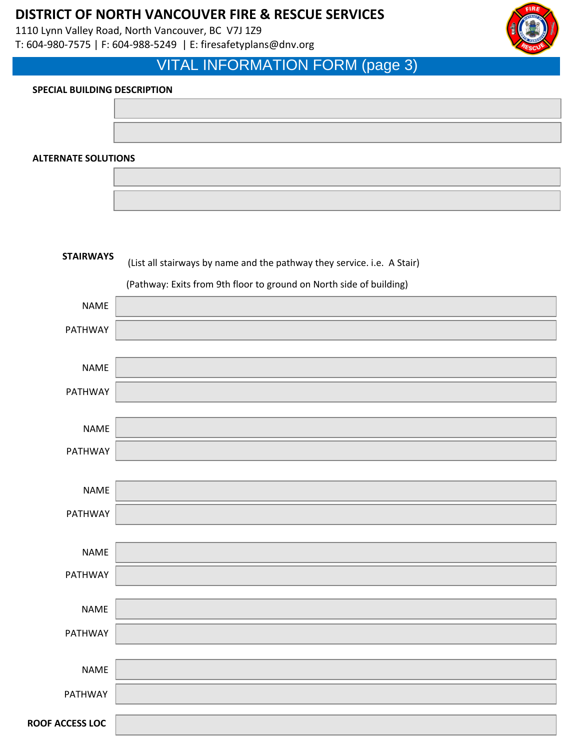1110 Lynn Valley Road, North Vancouver, BC V7J 1Z9 T: 604-980-7575 | F: 604-988-5249 | E: firesafetyplans@dnv.org



## VITAL INFORMATION FORM (page 3)

### **SPECIAL BUILDING DESCRIPTION**

**ALTERNATE SOLUTIONS**



| <b>STAIRWAYS</b>       | (List all stairways by name and the pathway they service. i.e. A Stair) |  |  |
|------------------------|-------------------------------------------------------------------------|--|--|
|                        | (Pathway: Exits from 9th floor to ground on North side of building)     |  |  |
| <b>NAME</b>            |                                                                         |  |  |
| PATHWAY                |                                                                         |  |  |
|                        |                                                                         |  |  |
| <b>NAME</b>            |                                                                         |  |  |
| PATHWAY                |                                                                         |  |  |
|                        |                                                                         |  |  |
| <b>NAME</b>            |                                                                         |  |  |
| PATHWAY                |                                                                         |  |  |
|                        |                                                                         |  |  |
| <b>NAME</b>            |                                                                         |  |  |
| PATHWAY                |                                                                         |  |  |
|                        |                                                                         |  |  |
| <b>NAME</b>            |                                                                         |  |  |
| PATHWAY                |                                                                         |  |  |
|                        |                                                                         |  |  |
| <b>NAME</b>            |                                                                         |  |  |
| PATHWAY                |                                                                         |  |  |
|                        |                                                                         |  |  |
| <b>NAME</b>            |                                                                         |  |  |
| PATHWAY                |                                                                         |  |  |
| <b>ROOF ACCESS LOC</b> |                                                                         |  |  |